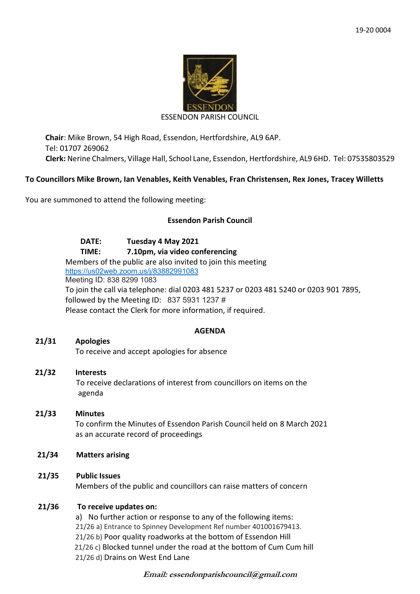

#### ESSENDON PARISH COUNCIL

**Chair**: Mike Brown, 54 High Road, Essendon, Hertfordshire, AL9 6AP. Tel: 01707 269062 **Clerk:** Nerine Chalmers, Village Hall, School Lane, Essendon, Hertfordshire, AL9 6HD. Tel: 07535803529

## **To Councillors Mike Brown, Ian Venables, Keith Venables, Fran Christensen, Rex Jones, Tracey Willetts**

You are summoned to attend the following meeting:

# **Essendon Parish Council**

**DATE: Tuesday 4 May 2021 TIME: 7.10pm, via video conferencing** Members of the public are also invited to join this meeting <https://us02web.zoom.us/j/83882991083> Meeting ID: 838 8299 1083 To join the call via telephone: dial 0203 481 5237 or 0203 481 5240 or 0203 901 7895, followed by the Meeting ID: 837 5931 1237 # Please contact the Clerk for more information, if required.

### **AGENDA**

**21/31 Apologies**  To receive and accept apologies for absence

### **21/32 Interests**

To receive declarations of interest from councillors on items on the agenda

- **21/33 Minutes** To confirm the Minutes of Essendon Parish Council held on 8 March 2021 as an accurate record of proceedings
- **21/34 Matters arising**
- **21/35 Public Issues**

Members of the public and councillors can raise matters of concern

# **21/36 To receive updates on:**

a) No further action or response to any of the following items: 21/26 a) Entrance to Spinney Development Ref number 401001679413. 21/26 b) Poor quality roadworks at the bottom of Essendon Hill 21/26 c) Blocked tunnel under the road at the bottom of Cum Cum hill 21/26 d) Drains on West End Lane

**Email: essendonparishcouncil@gmail.com**